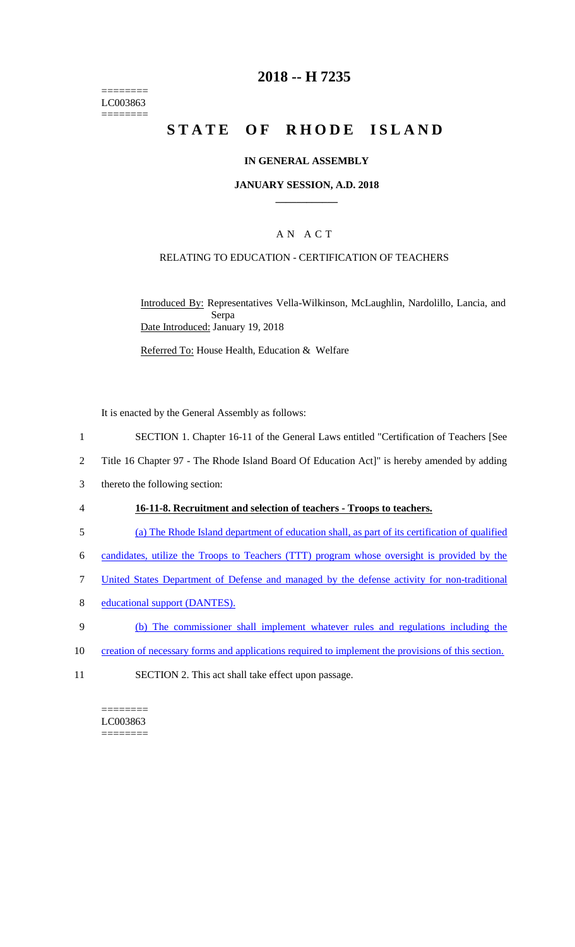======== LC003863 ========

# **2018 -- H 7235**

# **STATE OF RHODE ISLAND**

## **IN GENERAL ASSEMBLY**

#### **JANUARY SESSION, A.D. 2018 \_\_\_\_\_\_\_\_\_\_\_\_**

## A N A C T

## RELATING TO EDUCATION - CERTIFICATION OF TEACHERS

Introduced By: Representatives Vella-Wilkinson, McLaughlin, Nardolillo, Lancia, and Serpa Date Introduced: January 19, 2018

Referred To: House Health, Education & Welfare

It is enacted by the General Assembly as follows:

- 1 SECTION 1. Chapter 16-11 of the General Laws entitled "Certification of Teachers [See
- 2 Title 16 Chapter 97 The Rhode Island Board Of Education Act]" is hereby amended by adding
- 3 thereto the following section:
- 4 **16-11-8. Recruitment and selection of teachers - Troops to teachers.**
- 5 (a) The Rhode Island department of education shall, as part of its certification of qualified
- 6 candidates, utilize the Troops to Teachers (TTT) program whose oversight is provided by the
- 7 United States Department of Defense and managed by the defense activity for non-traditional
- 8 educational support (DANTES).
- 9 (b) The commissioner shall implement whatever rules and regulations including the
- 10 creation of necessary forms and applications required to implement the provisions of this section.
- 11 SECTION 2. This act shall take effect upon passage.

======== LC003863  $=$